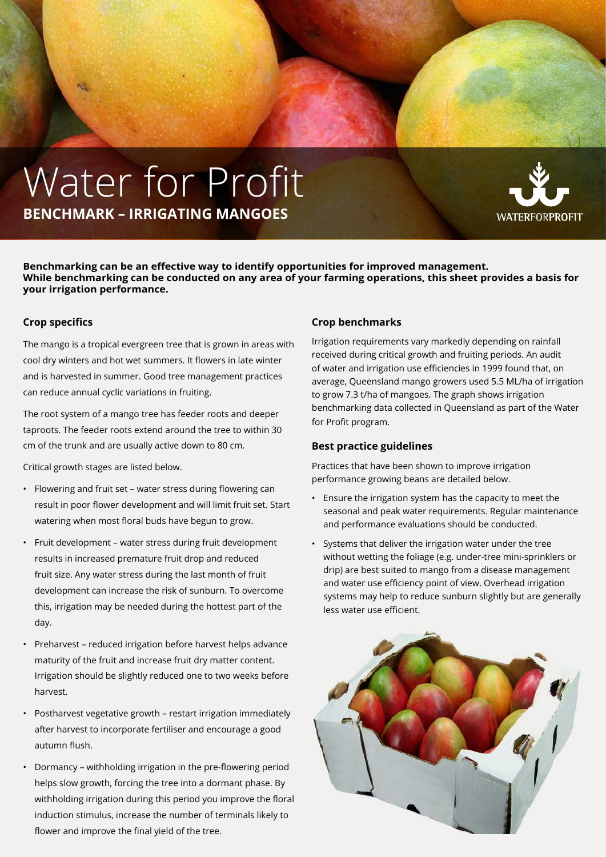## Water for Profit **Benchmark – Irrigating mangoes**



**Benchmarking can be an effective way to identify opportunities for improved management. While benchmarking can be conducted on any area of your farming operations, this sheet provides a basis for your irrigation performance.**

## **Crop specifics**

The mango is a tropical evergreen tree that is grown in areas with cool dry winters and hot wet summers. It flowers in late winter and is harvested in summer. Good tree management practices can reduce annual cyclic variations in fruiting.

The root system of a mango tree has feeder roots and deeper taproots. The feeder roots extend around the tree to within 30 cm of the trunk and are usually active down to 80 cm.

Critical growth stages are listed below.

- Flowering and fruit set water stress during flowering can result in poor flower development and will limit fruit set. Start watering when most floral buds have begun to grow.
- Fruit development water stress during fruit development results in increased premature fruit drop and reduced fruit size. Any water stress during the last month of fruit development can increase the risk of sunburn. To overcome this, irrigation may be needed during the hottest part of the day.
- Preharvest reduced irrigation before harvest helps advance maturity of the fruit and increase fruit dry matter content. Irrigation should be slightly reduced one to two weeks before harvest.
- Postharvest vegetative growth restart irrigation immediately after harvest to incorporate fertiliser and encourage a good autumn flush.
- Dormancy withholding irrigation in the pre-flowering period helps slow growth, forcing the tree into a dormant phase. By withholding irrigation during this period you improve the floral induction stimulus, increase the number of terminals likely to flower and improve the final yield of the tree.

## **Crop benchmarks**

Irrigation requirements vary markedly depending on rainfall received during critical growth and fruiting periods. An audit of water and irrigation use efficiencies in 1999 found that, on average, Queensland mango growers used 5.5 ML/ha of irrigation to grow 7.3 t/ha of mangoes. The graph shows irrigation benchmarking data collected in Queensland as part of the Water for Profit program.

## **Best practice guidelines**

Practices that have been shown to improve irrigation performance growing beans are detailed below.

- Ensure the irrigation system has the capacity to meet the seasonal and peak water requirements. Regular maintenance and performance evaluations should be conducted.
- Systems that deliver the irrigation water under the tree without wetting the foliage (e.g. under-tree mini-sprinklers or drip) are best suited to mango from a disease management and water use efficiency point of view. Overhead irrigation systems may help to reduce sunburn slightly but are generally less water use efficient.